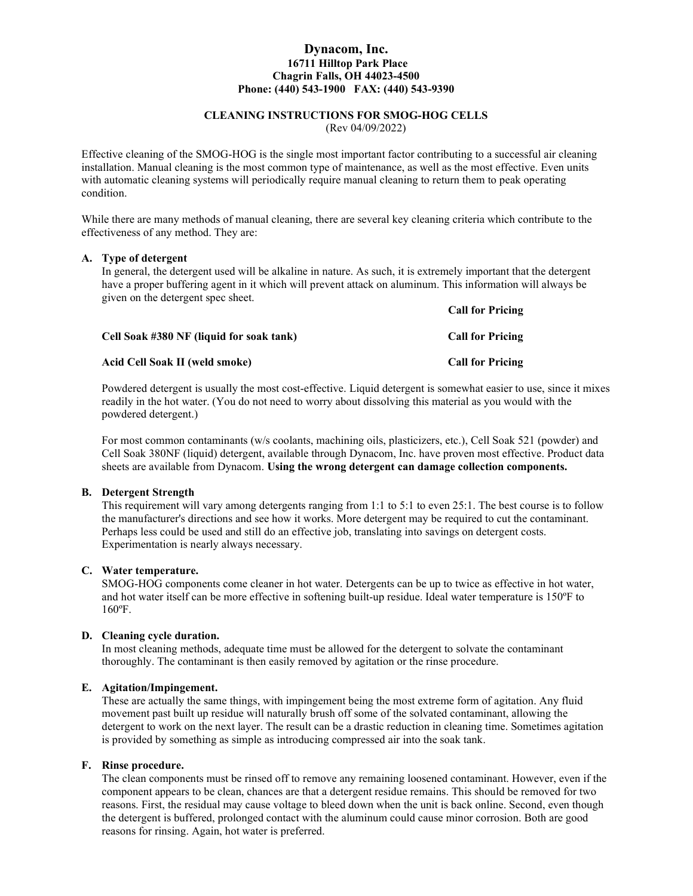#### Dynacom, Inc. 16711 Hilltop Park Place Chagrin Falls, OH 44023-4500 Phone: (440) 543-1900 FAX: (440) 543-9390

# CLEANING INSTRUCTIONS FOR SMOG-HOG CELLS

(Rev 04/09/2022)

Effective cleaning of the SMOG-HOG is the single most important factor contributing to a successful air cleaning installation. Manual cleaning is the most common type of maintenance, as well as the most effective. Even units with automatic cleaning systems will periodically require manual cleaning to return them to peak operating condition.

While there are many methods of manual cleaning, there are several key cleaning criteria which contribute to the effectiveness of any method. They are:

#### A. Type of detergent

In general, the detergent used will be alkaline in nature. As such, it is extremely important that the detergent have a proper buffering agent in it which will prevent attack on aluminum. This information will always be given on the detergent spec sheet.

Call for Pricing

| Cell Soak #380 NF (liquid for soak tank) | <b>Call for Pricing</b> |
|------------------------------------------|-------------------------|
| Acid Cell Soak II (weld smoke)           | <b>Call for Pricing</b> |

Powdered detergent is usually the most cost-effective. Liquid detergent is somewhat easier to use, since it mixes readily in the hot water. (You do not need to worry about dissolving this material as you would with the powdered detergent.)

For most common contaminants (w/s coolants, machining oils, plasticizers, etc.), Cell Soak 521 (powder) and Cell Soak 380NF (liquid) detergent, available through Dynacom, Inc. have proven most effective. Product data sheets are available from Dynacom. Using the wrong detergent can damage collection components.

#### B. Detergent Strength

This requirement will vary among detergents ranging from 1:1 to 5:1 to even 25:1. The best course is to follow the manufacturer's directions and see how it works. More detergent may be required to cut the contaminant. Perhaps less could be used and still do an effective job, translating into savings on detergent costs. Experimentation is nearly always necessary.

## C. Water temperature.

SMOG-HOG components come cleaner in hot water. Detergents can be up to twice as effective in hot water, and hot water itself can be more effective in softening built-up residue. Ideal water temperature is 150ºF to 160ºF.

## D. Cleaning cycle duration.

In most cleaning methods, adequate time must be allowed for the detergent to solvate the contaminant thoroughly. The contaminant is then easily removed by agitation or the rinse procedure.

## E. Agitation/Impingement.

These are actually the same things, with impingement being the most extreme form of agitation. Any fluid movement past built up residue will naturally brush off some of the solvated contaminant, allowing the detergent to work on the next layer. The result can be a drastic reduction in cleaning time. Sometimes agitation is provided by something as simple as introducing compressed air into the soak tank.

# F. Rinse procedure.

The clean components must be rinsed off to remove any remaining loosened contaminant. However, even if the component appears to be clean, chances are that a detergent residue remains. This should be removed for two reasons. First, the residual may cause voltage to bleed down when the unit is back online. Second, even though the detergent is buffered, prolonged contact with the aluminum could cause minor corrosion. Both are good reasons for rinsing. Again, hot water is preferred.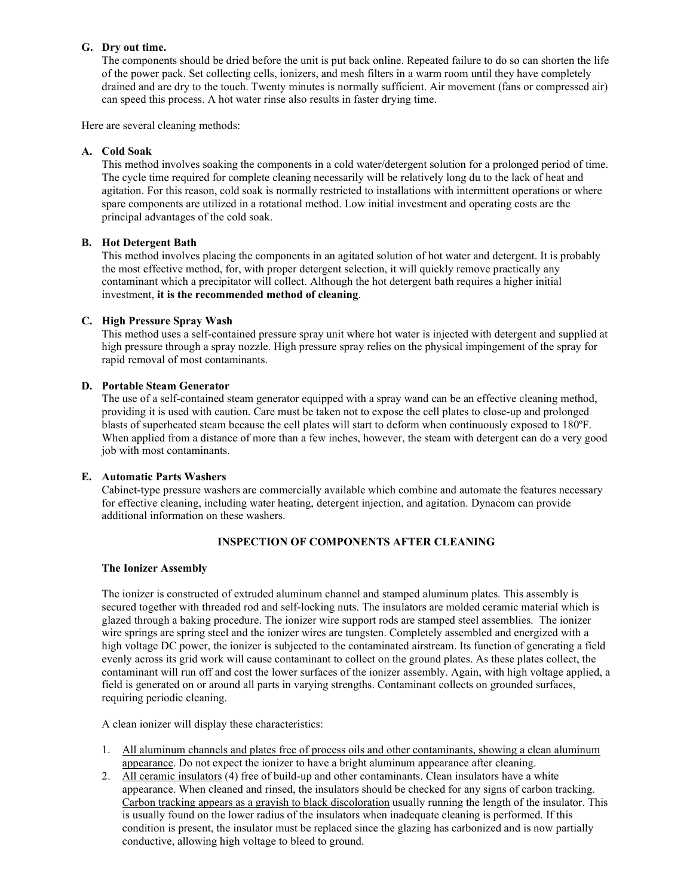#### G. Dry out time.

The components should be dried before the unit is put back online. Repeated failure to do so can shorten the life of the power pack. Set collecting cells, ionizers, and mesh filters in a warm room until they have completely drained and are dry to the touch. Twenty minutes is normally sufficient. Air movement (fans or compressed air) can speed this process. A hot water rinse also results in faster drying time.

Here are several cleaning methods:

## A. Cold Soak

This method involves soaking the components in a cold water/detergent solution for a prolonged period of time. The cycle time required for complete cleaning necessarily will be relatively long du to the lack of heat and agitation. For this reason, cold soak is normally restricted to installations with intermittent operations or where spare components are utilized in a rotational method. Low initial investment and operating costs are the principal advantages of the cold soak.

## B. Hot Detergent Bath

This method involves placing the components in an agitated solution of hot water and detergent. It is probably the most effective method, for, with proper detergent selection, it will quickly remove practically any contaminant which a precipitator will collect. Although the hot detergent bath requires a higher initial investment, it is the recommended method of cleaning.

#### C. High Pressure Spray Wash

This method uses a self-contained pressure spray unit where hot water is injected with detergent and supplied at high pressure through a spray nozzle. High pressure spray relies on the physical impingement of the spray for rapid removal of most contaminants.

#### D. Portable Steam Generator

The use of a self-contained steam generator equipped with a spray wand can be an effective cleaning method, providing it is used with caution. Care must be taken not to expose the cell plates to close-up and prolonged blasts of superheated steam because the cell plates will start to deform when continuously exposed to 180ºF. When applied from a distance of more than a few inches, however, the steam with detergent can do a very good job with most contaminants.

#### E. Automatic Parts Washers

Cabinet-type pressure washers are commercially available which combine and automate the features necessary for effective cleaning, including water heating, detergent injection, and agitation. Dynacom can provide additional information on these washers.

## INSPECTION OF COMPONENTS AFTER CLEANING

#### The Ionizer Assembly

The ionizer is constructed of extruded aluminum channel and stamped aluminum plates. This assembly is secured together with threaded rod and self-locking nuts. The insulators are molded ceramic material which is glazed through a baking procedure. The ionizer wire support rods are stamped steel assemblies. The ionizer wire springs are spring steel and the ionizer wires are tungsten. Completely assembled and energized with a high voltage DC power, the ionizer is subjected to the contaminated airstream. Its function of generating a field evenly across its grid work will cause contaminant to collect on the ground plates. As these plates collect, the contaminant will run off and cost the lower surfaces of the ionizer assembly. Again, with high voltage applied, a field is generated on or around all parts in varying strengths. Contaminant collects on grounded surfaces, requiring periodic cleaning.

A clean ionizer will display these characteristics:

- 1. All aluminum channels and plates free of process oils and other contaminants, showing a clean aluminum appearance. Do not expect the ionizer to have a bright aluminum appearance after cleaning.
- 2. All ceramic insulators (4) free of build-up and other contaminants. Clean insulators have a white appearance. When cleaned and rinsed, the insulators should be checked for any signs of carbon tracking. Carbon tracking appears as a grayish to black discoloration usually running the length of the insulator. This is usually found on the lower radius of the insulators when inadequate cleaning is performed. If this condition is present, the insulator must be replaced since the glazing has carbonized and is now partially conductive, allowing high voltage to bleed to ground.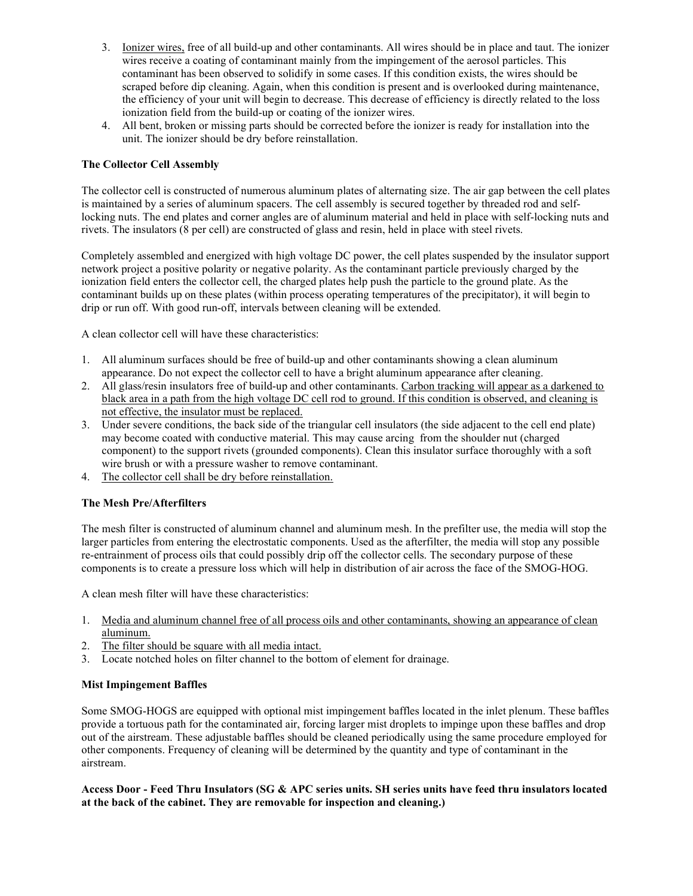- 3. Ionizer wires, free of all build-up and other contaminants. All wires should be in place and taut. The ionizer wires receive a coating of contaminant mainly from the impingement of the aerosol particles. This contaminant has been observed to solidify in some cases. If this condition exists, the wires should be scraped before dip cleaning. Again, when this condition is present and is overlooked during maintenance, the efficiency of your unit will begin to decrease. This decrease of efficiency is directly related to the loss ionization field from the build-up or coating of the ionizer wires.
- 4. All bent, broken or missing parts should be corrected before the ionizer is ready for installation into the unit. The ionizer should be dry before reinstallation.

# The Collector Cell Assembly

The collector cell is constructed of numerous aluminum plates of alternating size. The air gap between the cell plates is maintained by a series of aluminum spacers. The cell assembly is secured together by threaded rod and selflocking nuts. The end plates and corner angles are of aluminum material and held in place with self-locking nuts and rivets. The insulators (8 per cell) are constructed of glass and resin, held in place with steel rivets.

Completely assembled and energized with high voltage DC power, the cell plates suspended by the insulator support network project a positive polarity or negative polarity. As the contaminant particle previously charged by the ionization field enters the collector cell, the charged plates help push the particle to the ground plate. As the contaminant builds up on these plates (within process operating temperatures of the precipitator), it will begin to drip or run off. With good run-off, intervals between cleaning will be extended.

A clean collector cell will have these characteristics:

- 1. All aluminum surfaces should be free of build-up and other contaminants showing a clean aluminum appearance. Do not expect the collector cell to have a bright aluminum appearance after cleaning.
- 2. All glass/resin insulators free of build-up and other contaminants. Carbon tracking will appear as a darkened to black area in a path from the high voltage DC cell rod to ground. If this condition is observed, and cleaning is not effective, the insulator must be replaced.
- 3. Under severe conditions, the back side of the triangular cell insulators (the side adjacent to the cell end plate) may become coated with conductive material. This may cause arcing from the shoulder nut (charged component) to the support rivets (grounded components). Clean this insulator surface thoroughly with a soft wire brush or with a pressure washer to remove contaminant.
- 4. The collector cell shall be dry before reinstallation.

## The Mesh Pre/Afterfilters

The mesh filter is constructed of aluminum channel and aluminum mesh. In the prefilter use, the media will stop the larger particles from entering the electrostatic components. Used as the afterfilter, the media will stop any possible re-entrainment of process oils that could possibly drip off the collector cells. The secondary purpose of these components is to create a pressure loss which will help in distribution of air across the face of the SMOG-HOG.

A clean mesh filter will have these characteristics:

- 1. Media and aluminum channel free of all process oils and other contaminants, showing an appearance of clean aluminum.
- 2. The filter should be square with all media intact.
- 3. Locate notched holes on filter channel to the bottom of element for drainage.

## Mist Impingement Baffles

Some SMOG-HOGS are equipped with optional mist impingement baffles located in the inlet plenum. These baffles provide a tortuous path for the contaminated air, forcing larger mist droplets to impinge upon these baffles and drop out of the airstream. These adjustable baffles should be cleaned periodically using the same procedure employed for other components. Frequency of cleaning will be determined by the quantity and type of contaminant in the airstream.

# Access Door - Feed Thru Insulators (SG & APC series units. SH series units have feed thru insulators located at the back of the cabinet. They are removable for inspection and cleaning.)